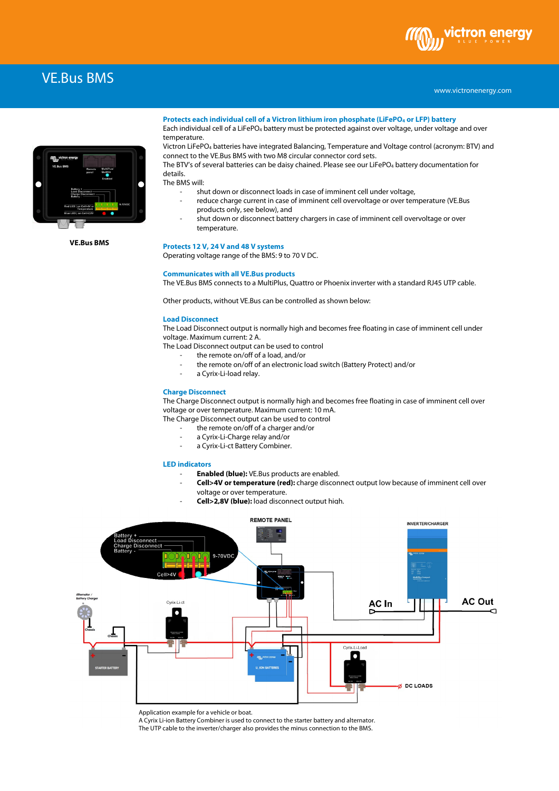# VE.Bus BMS



**VE.Bus BMS**

#### **Protects each individual cell of a Victron lithium iron phosphate (LiFePO<sup>4</sup> or LFP) battery**

Each individual cell of a LiFePO<sub>4</sub> battery must be protected against over voltage, under voltage and over temperature.

Victron LiFePO4 batteries have integrated Balancing, Temperature and Voltage control (acronym: BTV) and connect to the VE.Bus BMS with two M8 circular connector cord sets.

The BTV's of several batteries can be daisy chained. Please see our LiFePO4 battery documentation for details.

The BMS will:

- shut down or disconnect loads in case of imminent cell under voltage,
- reduce charge current in case of imminent cell overvoltage or over temperature (VE.Bus products only, see below), and
- shut down or disconnect battery chargers in case of imminent cell overvoltage or over temperature.

#### **Protects 12 V, 24 V and 48 V systems**

Operating voltage range of the BMS: 9 to 70 V DC.

#### **Communicates with all VE.Bus products**

The VE.Bus BMS connects to a MultiPlus, Quattro or Phoenix inverter with a standard RJ45 UTP cable.

Other products, without VE.Bus can be controlled as shown below:

## **Load Disconnect**

The Load Disconnect output is normally high and becomes free floating in case of imminent cell under voltage. Maximum current: 2 A.

- The Load Disconnect output can be used to control
	- the remote on/off of a load, and/or
	- the remote on/off of an electronic load switch (Battery Protect) and/or
	- a Cyrix-Li-load relay.

## **Charge Disconnect**

The Charge Disconnect output is normally high and becomes free floating in case of imminent cell over voltage or over temperature. Maximum current: 10 mA.

The Charge Disconnect output can be used to control

- the remote on/off of a charger and/or
- a Cyrix-Li-Charge relay and/or
- a Cyrix-Li-ct Battery Combiner.

#### **LED indicators**

- **Enabled (blue):** VE.Bus products are enabled.
	- **Cell>4V or temperature (red):** charge disconnect output low because of imminent cell over voltage or over temperature.
	- **Cell>2,8V (blue):** load disconnect output high.



Application example for a vehicle or boat.

A Cyrix Li-ion Battery Combiner is used to connect to the starter battery and alternator.

The UTP cable to the inverter/charger also provides the minus connection to the BMS.